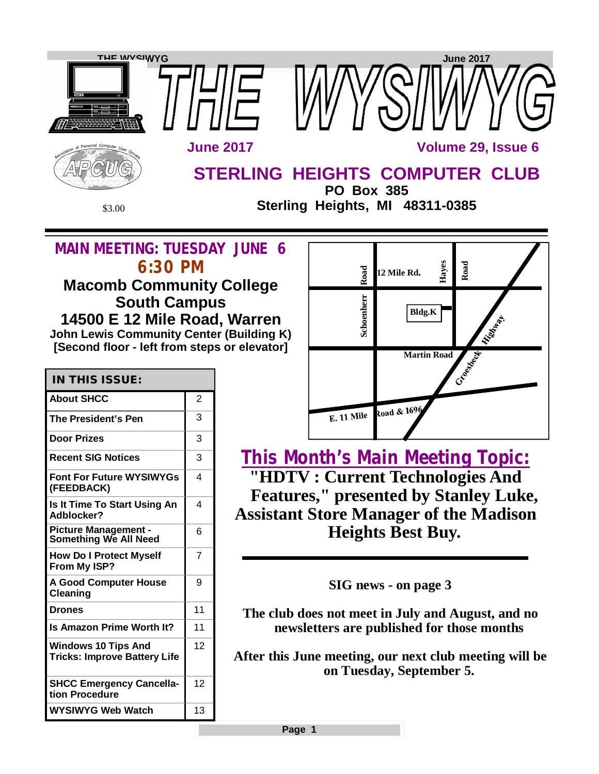

**Page 1**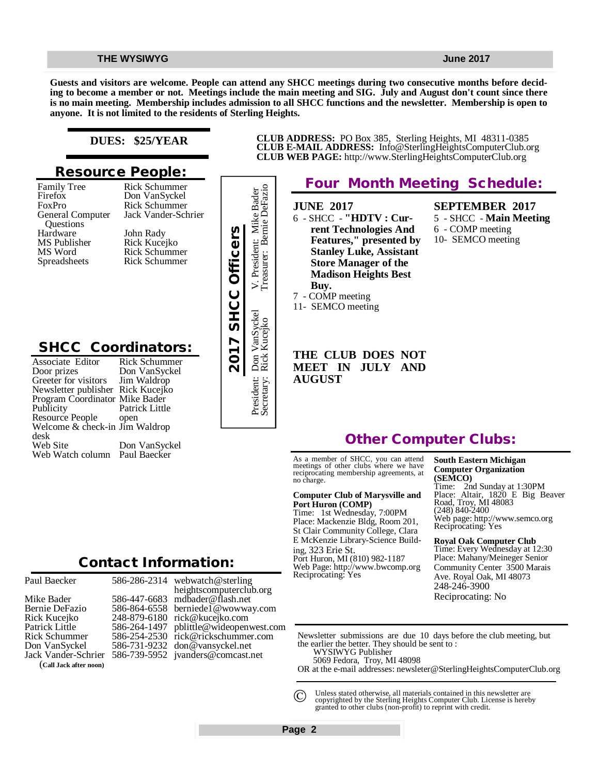**Guests and visitors are welcome. People can attend any SHCC meetings during two consecutive months before deciding to become a member or not. Meetings include the main meeting and SIG. July and August don't count since there is no main meeting. Membership includes admission to all SHCC functions and the newsletter. Membership is open to anyone. It is not limited to the residents of Sterling Heights.**

# **DUES: \$25/YEAR**

# **Resource People:**

Family Tree Firefox FoxPro General Computer Questions Hardware MS Publisher MS Word Spreadsheets

Rick Schummer Jack Vander-Schrier John Rady Rick Kucejko Rick Schummer Rick Schummer

Rick Schummer Don VanSyckel

# **SHCC Coordinators:**

| Hardware<br>MS Publisher<br>MS Word<br>Spreadsheets                                                                                                                                                                                                                   | John Rady<br>Rick Kucejko<br><b>Rick Schummer</b><br><b>Rick Schummer</b>                                       | 2017 SHCC Officers |
|-----------------------------------------------------------------------------------------------------------------------------------------------------------------------------------------------------------------------------------------------------------------------|-----------------------------------------------------------------------------------------------------------------|--------------------|
| <b>SHCC Coordinators:</b><br>Associate Editor<br>Door prizes<br>Greeter for visitors<br>Newsletter publisher Rick Kucejko<br>Program Coordinator Mike Bader<br>Publicity<br>Resource People<br>Welcome & check-in Jim Waldrop<br>desk<br>Web Site<br>Web Watch column | <b>Rick Schummer</b><br>Don VanSyckel<br>Jim Waldrop<br>Patrick Little<br>open<br>Don VanSyckel<br>Paul Baecker |                    |
|                                                                                                                                                                                                                                                                       | <b>Contact Information:</b>                                                                                     |                    |

# President: Mike Bader<br>asurer: Bernie DeFazio Secretary: Rick Kucejko Treasurer: Bernie DeFazio President: Don VanSyckel V. President: Mike Bader V. President<br>Treasurer: E Don VanSyckel<br>Rick Kucejko President: I<br>Secretary: I

### **CLUB ADDRESS:** PO Box 385, Sterling Heights, MI 48311-0385 **CLUB E-MAIL ADDRESS:** [Info@SterlingHeightsComputerClub.org](mailto:Info@SterlingHeightsComputerClub.org) **CLUB WEB PAGE:** <http://www.SterlingHeightsComputerClub.org>

# **Four Month Meeting Schedule:**

**JUNE 2017**

6 - SHCC - **"HDTV : Current Technologies And Features," presented by Stanley Luke, Assistant Store Manager of the Madison Heights Best Buy.** 7 - COMP meeting

11- SEMCO meeting

**SEPTEMBER 2017** 5 - SHCC - **Main Meeting** 6 - COMP meeting 10- SEMCO meeting

**MEET IN JULY AND AUGUST**

**THE CLUB DOES NOT** 

# **Other Computer Clubs:**

As a member of SHCC, you can attend meetings of other clubs where we have reciprocating membership agreements, at no charge.

### **Computer Club of Marysville and Port Huron (COMP)**

Time: 1st Wednesday, 7:00PM Place: Mackenzie Bldg, Room 201, St Clair Community College, Clara E McKenzie Library-Science Building, 323 Erie St. Port Huron, MI (810) 982-1187 Web Page:<http://www.bwcomp.org> Reciprocating: Yes

**South Eastern Michigan Computer Organization (SEMCO)** Time: 2nd Sunday at 1:30PM

Place: Altair, 1820 E Big Beaver Road, Troy, MI 48083 (248) 840-2400 Web page: <http://www.semco.org> Reciprocating: Yes

**Royal Oak Computer Club** Time: Every Wednesday at 12:30 Place: Mahany/Meineger Senior Community Center 3500 Marais Ave. Royal Oak, MI 48073 248-246-3900

Reciprocating: No

Newsletter submissions are due 10 days before the club meeting, but the earlier the better. They should be sent to :

 WYSIWYG Publisher 5069 Fedora, Troy, MI 48098

OR at the e-mail addresses: [newsleter@SterlingHeightsComputerClub.org](mailto:newsleter@SterlingHeightsComputerClub.org)

Unless stated otherwise, all materials contained in this newsletter are copyrighted by the Sterling Heights Computer Club. License is hereby granted to other clubs (non-profit) to reprint with credit.  $\odot$ 

| Paul Baecker           | 58 |
|------------------------|----|
| Mike Bader             | 58 |
| Bernie DeFazio         | 58 |
| Rick Kucejko           | 24 |
| Patrick Little         | 58 |
| <b>Rick Schummer</b>   | 58 |
| Don VanSyckel          | 58 |
| Jack Vander-Schrier    | 58 |
| (Call Jack after noon) |    |

586-286-2314 586-447-6683 586-864-6558 248-879-6180 [rick@kucejko.com](mailto:rick@kucejko.com) 586-264-1497 [pblittle@wideopenwest.com](mailto:pblittle@wideopenwest.com) 586-254-2530 [rick@rickschummer.com](mailto:rick@rickschummer.com) 586-731-9232 [don@vansyckel.net](mailto:don@vansyckel.net) 586-739-5952 [jvanders@comcast.net](mailto:jvanders@comcast.net) webwatch@sterling heightscomputerclub.org [mdbader@flash.net](mailto:mdbader@flash.net) [berniede1@wowway.com](mailto:berniede1@wowway.com)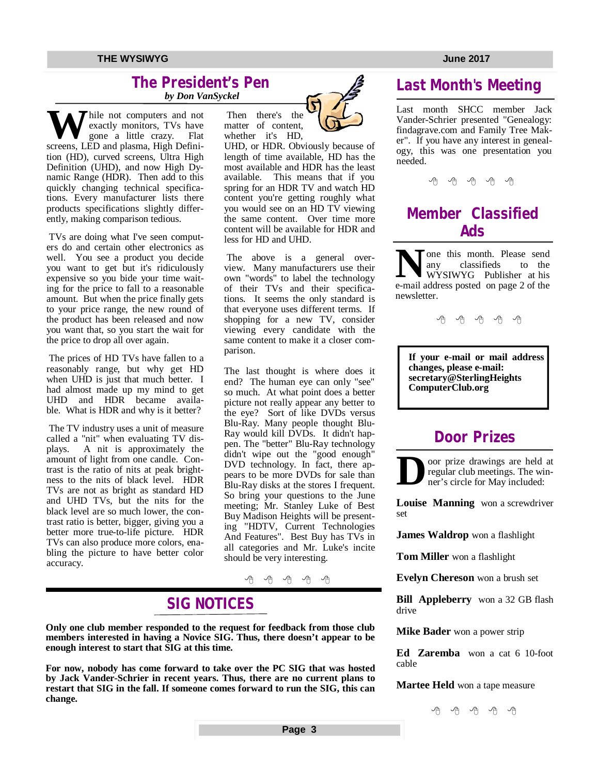# **The President's Pen**

 *by Don VanSyckel*

Thile not computers and not exactly monitors, TVs have gone a little crazy. Flat screens, LED and plasma, High Definition (HD), curved screens, Ultra High Definition (UHD), and now High Dynamic Range (HDR). Then add to this quickly changing technical specifications. Every manufacturer lists there products specifications slightly differently, making comparison tedious.

TVs are doing what I've seen computers do and certain other electronics as well. You see a product you decide you want to get but it's ridiculously expensive so you bide your time waiting for the price to fall to a reasonable amount. But when the price finally gets to your price range, the new round of the product has been released and now you want that, so you start the wait for the price to drop all over again.

The prices of HD TVs have fallen to a reasonably range, but why get HD when UHD is just that much better. I had almost made up my mind to get UHD and HDR became available. What is HDR and why is it better?

The TV industry uses a unit of measure called a "nit" when evaluating TV dis-<br>plays. A nit is approximately the A nit is approximately the amount of light from one candle. Contrast is the ratio of nits at peak brightness to the nits of black level. HDR TVs are not as bright as standard HD and UHD TVs, but the nits for the black level are so much lower, the contrast ratio is better, bigger, giving you a better more true-to-life picture. HDR TVs can also produce more colors, enabling the picture to have better color accuracy.



UHD, or HDR. Obviously because of length of time available, HD has the most available and HDR has the least available. This means that if you spring for an HDR TV and watch HD content you're getting roughly what you would see on an HD TV viewing the same content. Over time more content will be available for HDR and less for HD and UHD.

The above is a general overview. Many manufacturers use their own "words" to label the technology of their TVs and their specifications. It seems the only standard is that everyone uses different terms. If shopping for a new TV, consider viewing every candidate with the same content to make it a closer comparison.

The last thought is where does it end? The human eye can only "see" so much. At what point does a better picture not really appear any better to the eye? Sort of like DVDs versus Blu-Ray. Many people thought Blu-Ray would kill DVDs. It didn't happen. The "better" Blu-Ray technology didn't wipe out the "good enough" DVD technology. In fact, there appears to be more DVDs for sale than Blu-Ray disks at the stores I frequent. So bring your questions to the June meeting; Mr. Stanley Luke of Best Buy Madison Heights will be presenting "HDTV, Current Technologies And Features". Best Buy has TVs in all categories and Mr. Luke's incite should be very interesting.

伯 伯 伯 伯

# **SIG NOTICES**

**Only one club member responded to the request for feedback from those club members interested in having a Novice SIG. Thus, there doesn't appear to be enough interest to start that SIG at this time.**

**For now, nobody has come forward to take over the PC SIG that was hosted by Jack Vander-Schrier in recent years. Thus, there are no current plans to restart that SIG in the fall. If someone comes forward to run the SIG, this can change.**

# **Last Month's Meeting**

Last month SHCC member Jack Vander-Schrier presented "Genealogy: findagrave.com and Family Tree Maker". If you have any interest in genealogy, this was one presentation you needed.

# **Member Classified Ads**

**N**one this month. Please send<br>
any classifieds to the<br>
wYSIWYG Publisher at his<br>
e-mail address posted on page 2 of the Tone this month. Please send<br>any classifieds to the classifieds WYSIWYG Publisher at his newsletter.

一个 一个 一个

**If your e-mail or mail address changes, please e-mail: secretary@SterlingHeights ComputerClub.org**

# **Door Prizes**

**D** oor prize drawings are held at regular club meetings. The winner's circle for May included:

**Louise Manning** won a screwdriver set

**James Waldrop** won a flashlight

**Tom Miller** won a flashlight

**Evelyn Chereson** won a brush set

**Bill Appleberry** won a 32 GB flash drive

**Mike Bader** won a power strip

**Ed Zaremba** won a cat 6 10-foot cable

**Martee Held** won a tape measure

平 平 平 平 平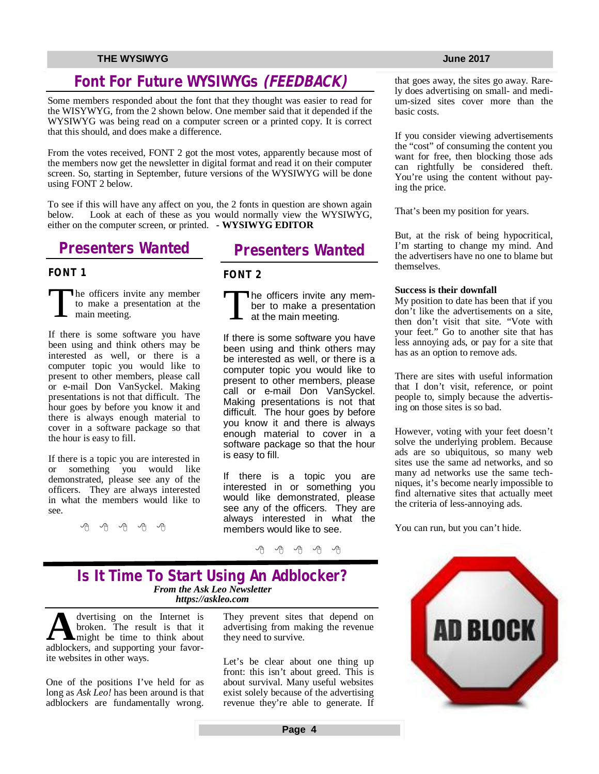# **Font For Future WYSIWYGs** *(FEEDBACK)*

Some members responded about the font that they thought was easier to read for the WISYWYG, from the 2 shown below. One member said that it depended if the WYSIWYG was being read on a computer screen or a printed copy. It is correct that this should, and does make a difference.

From the votes received, FONT 2 got the most votes, apparently because most of the members now get the newsletter in digital format and read it on their computer screen. So, starting in September, future versions of the WYSIWYG will be done using FONT 2 below.

To see if this will have any affect on you, the 2 fonts in question are shown again below. Look at each of these as you would normally view the WYSIWYG. Look at each of these as you would normally view the WYSIWYG, either on the computer screen, or printed. **- WYSIWYG EDITOR**

# **Presenters Wanted**

# **FONT 1**

T he officers invite any member to make a presentation at the main meeting.

If there is some software you have been using and think others may be interested as well, or there is a computer topic you would like to present to other members, please call or e-mail Don VanSyckel. Making presentations is not that difficult. The hour goes by before you know it and there is always enough material to cover in a software package so that the hour is easy to fill.

If there is a topic you are interested in or something you would like demonstrated, please see any of the officers. They are always interested in what the members would like to see.

一个 一个

# **Presenters Wanted**

# **FONT 2**

T he officers invite any member to make a presentation at the main meeting.

If there is some software you have been using and think others may be interested as well, or there is a computer topic you would like to present to other members, please call or e-mail Don VanSyckel. Making presentations is not that difficult. The hour goes by before you know it and there is always enough material to cover in a software package so that the hour is easy to fill.

If there is a topic you are interested in or something you would like demonstrated, please see any of the officers. They are always interested in what the members would like to see.

一个 一个

# **Is It Time To Start Using An Adblocker?** *From the Ask Leo Newsletter <https://askleo.com>*

**A** dvertising on the Internet is<br>broken. The result is that it<br>adblockers, and supporting your favordvertising on the Internet is broken. The result is that it might be time to think about ite websites in other ways.

One of the positions I've held for as long as *Ask Leo!* has been around is that adblockers are fundamentally wrong. They prevent sites that depend on advertising from making the revenue they need to survive.

Let's be clear about one thing up front: this isn't about greed. This is about survival. Many useful websites exist solely because of the advertising revenue they're able to generate. If that goes away, the sites go away. Rarely does advertising on small- and medium-sized sites cover more than the basic costs.

If you consider viewing advertisements the "cost" of consuming the content you want for free, then blocking those ads can rightfully be considered theft. You're using the content without paying the price.

That's been my position for years.

But, at the risk of being hypocritical, I'm starting to change my mind. And the advertisers have no one to blame but themselves.

### **Success is their downfall**

My position to date has been that if you don't like the advertisements on a site, then don't visit that site. "Vote with your feet." Go to another site that has less annoying ads, or pay for a site that has as an option to remove ads.

There are sites with useful information that I don't visit, reference, or point people to, simply because the advertising on those sites is so bad.

However, voting with your feet doesn't solve the underlying problem. Because ads are so ubiquitous, so many web sites use the same ad networks, and so many ad networks use the same techniques, it's become nearly impossible to find alternative sites that actually meet the criteria of less-annoying ads.

You can run, but you can't hide.

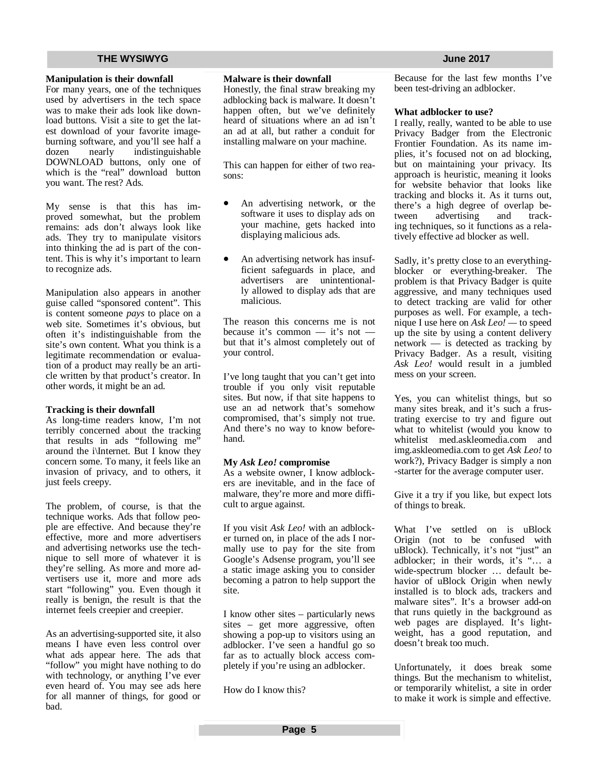### **Manipulation is their downfall**

For many years, one of the techniques used by advertisers in the tech space was to make their ads look like download buttons. Visit a site to get the latest download of your favorite imageburning software, and you'll see half a dozen nearly indistinguishable DOWNLOAD buttons, only one of which is the "real" download button you want. The rest? Ads.

My sense is that this has improved somewhat, but the problem remains: ads don't always look like ads. They try to manipulate visitors into thinking the ad is part of the content. This is why it's important to learn to recognize ads.

Manipulation also appears in another guise called "sponsored content". This is content someone *pays* to place on a web site. Sometimes it's obvious, but often it's indistinguishable from the site's own content. What you think is a legitimate recommendation or evaluation of a product may really be an article written by that product's creator. In other words, it might be an ad.

# **Tracking is their downfall**

As long-time readers know, I'm not terribly concerned about the tracking that results in ads "following me" around the i\Internet. But I know they concern some. To many, it feels like an invasion of privacy, and to others, it just feels creepy.

The problem, of course, is that the technique works. Ads that follow people are effective. And because they're effective, more and more advertisers and advertising networks use the technique to sell more of whatever it is they're selling. As more and more advertisers use it, more and more ads start "following" you. Even though it really is benign, the result is that the internet feels creepier and creepier.

As an advertising-supported site, it also means I have even less control over what ads appear here. The ads that "follow" you might have nothing to do with technology, or anything I've ever even heard of. You may see ads here for all manner of things, for good or bad.

### **Malware is their downfall**

Honestly, the final straw breaking my adblocking back is malware. It doesn't happen often, but we've definitely heard of situations where an ad isn't an ad at all, but rather a conduit for installing malware on your machine.

This can happen for either of two reasons:

- An advertising network, or the software it uses to display ads on your machine, gets hacked into displaying malicious ads.
- An advertising network has insufficient safeguards in place, and advertisers are unintentionally allowed to display ads that are malicious.

The reason this concerns me is not because it's common — it's not but that it's almost completely out of your control.

I've long taught that you can't get into trouble if you only visit reputable sites. But now, if that site happens to use an ad network that's somehow compromised, that's simply not true. And there's no way to know beforehand.

### **My** *Ask Leo!* **compromise**

As a website owner, I know adblockers are inevitable, and in the face of malware, they're more and more difficult to argue against.

If you visit *Ask Leo!* with an adblocker turned on, in place of the ads I normally use to pay for the site from Google's Adsense program, you'll see a static image asking you to consider becoming a patron to help support the site.

I know other sites – particularly news sites – get more aggressive, often showing a pop-up to visitors using an adblocker. I've seen a handful go so far as to actually block access completely if you're using an adblocker.

How do I know this?

Because for the last few months I've been test-driving an adblocker.

### **What adblocker to use?**

I really, really, wanted to be able to use Privacy Badger from the Electronic Frontier Foundation. As its name implies, it's focused not on ad blocking, but on maintaining your privacy. Its approach is heuristic, meaning it looks for website behavior that looks like tracking and blocks it. As it turns out, there's a high degree of overlap between advertising and tracking techniques, so it functions as a relatively effective ad blocker as well.

Sadly, it's pretty close to an everythingblocker or everything-breaker. The problem is that Privacy Badger is quite aggressive, and many techniques used to detect tracking are valid for other purposes as well. For example, a technique I use here on *Ask Leo! —* to speed up the site by using a content delivery network — is detected as tracking by Privacy Badger. As a result, visiting *Ask Leo!* would result in a jumbled mess on your screen.

Yes, you can whitelist things, but so many sites break, and it's such a frustrating exercise to try and figure out what to whitelist (would you know to whitelist med.askleomedia.com and img.askleomedia.com to get *Ask Leo!* to work?), Privacy Badger is simply a non -starter for the average computer user.

Give it a try if you like, but expect lots of things to break.

What I've settled on is uBlock Origin (not to be confused with uBlock). Technically, it's not "just" an adblocker; in their words, it's "… a wide-spectrum blocker … default behavior of uBlock Origin when newly installed is to block ads, trackers and malware sites". It's a browser add-on that runs quietly in the background as web pages are displayed. It's lightweight, has a good reputation, and doesn't break too much.

Unfortunately, it does break some things. But the mechanism to whitelist, or temporarily whitelist, a site in order to make it work is simple and effective.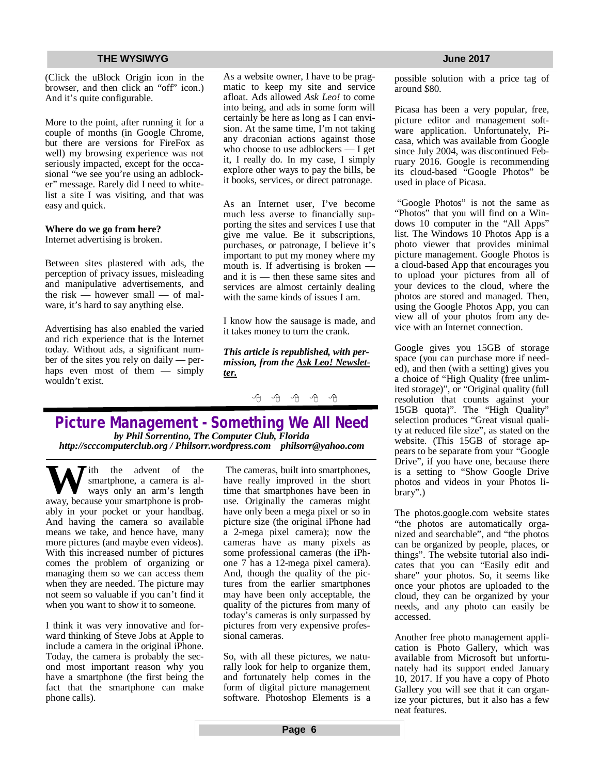(Click the uBlock Origin icon in the browser, and then click an "off" icon.) And it's quite configurable.

More to the point, after running it for a couple of months (in Google Chrome, but there are versions for FireFox as well) my browsing experience was not seriously impacted, except for the occasional "we see you're using an adblocker" message. Rarely did I need to whitelist a site I was visiting, and that was easy and quick.

### **Where do we go from here?**

Internet advertising is broken.

Between sites plastered with ads, the perception of privacy issues, misleading and manipulative advertisements, and the risk — however small — of malware, it's hard to say anything else.

Advertising has also enabled the varied and rich experience that is the Internet today. Without ads, a significant number of the sites you rely on daily — perhaps even most of them — simply wouldn't exist.

As a website owner, I have to be pragmatic to keep my site and service afloat. Ads allowed *Ask Leo!* to come into being, and ads in some form will certainly be here as long as I can envision. At the same time, I'm not taking any draconian actions against those who choose to use adblockers — I get it, I really do. In my case, I simply explore other ways to pay the bills, be it books, services, or direct patronage.

As an Internet user, I've become much less averse to financially supporting the sites and services I use that give me value. Be it subscriptions, purchases, or patronage, I believe it's important to put my money where my mouth is. If advertising is broken and it is — then these same sites and services are almost certainly dealing with the same kinds of issues I am.

I know how the sausage is made, and it takes money to turn the crank.

*This article is republished, with permission, from the Ask Leo! Newsletter.* 

A A A A A

# **Picture Management - Something We All Need** *by Phil Sorrentino, The Computer Club, Florida*

*<http://scccomputerclub.org>/ Philsorr.wordpress.com [philsorr@yahoo.com](mailto:philsorr@yahoo.com)*

**W** ith the advent of the smartphone, a camera is al-<br>ways only an arm's length<br>away because your smartphone is probsmartphone, a camera is alaway, because your smartphone is probably in your pocket or your handbag. And having the camera so available means we take, and hence have, many more pictures (and maybe even videos). With this increased number of pictures comes the problem of organizing or managing them so we can access them when they are needed. The picture may not seem so valuable if you can't find it when you want to show it to someone.

I think it was very innovative and forward thinking of Steve Jobs at Apple to include a camera in the original iPhone. Today, the camera is probably the second most important reason why you have a smartphone (the first being the fact that the smartphone can make phone calls).

The cameras, built into smartphones, have really improved in the short time that smartphones have been in use. Originally the cameras might have only been a mega pixel or so in picture size (the original iPhone had a 2-mega pixel camera); now the cameras have as many pixels as some professional cameras (the iPhone 7 has a 12-mega pixel camera). And, though the quality of the pictures from the earlier smartphones may have been only acceptable, the quality of the pictures from many of today's cameras is only surpassed by pictures from very expensive professional cameras.

So, with all these pictures, we naturally look for help to organize them, and fortunately help comes in the form of digital picture management software. Photoshop Elements is a possible solution with a price tag of around \$80.

Picasa has been a very popular, free, picture editor and management software application. Unfortunately, Picasa, which was available from Google since July 2004, was discontinued February 2016. Google is recommending its cloud-based "Google Photos" be used in place of Picasa.

"Google Photos" is not the same as "Photos" that you will find on a Windows 10 computer in the "All Apps" list. The Windows 10 Photos App is a photo viewer that provides minimal picture management. Google Photos is a cloud-based App that encourages you to upload your pictures from all of your devices to the cloud, where the photos are stored and managed. Then, using the Google Photos App, you can view all of your photos from any device with an Internet connection.

Google gives you 15GB of storage space (you can purchase more if needed), and then (with a setting) gives you a choice of "High Quality (free unlimited storage)", or "Original quality (full resolution that counts against your 15GB quota)". The "High Quality" selection produces "Great visual quality at reduced file size", as stated on the website. (This 15GB of storage appears to be separate from your "Google Drive", if you have one, because there is a setting to "Show Google Drive photos and videos in your Photos library".)

The photos.google.com website states "the photos are automatically organized and searchable", and "the photos can be organized by people, places, or things". The website tutorial also indicates that you can "Easily edit and share" your photos. So, it seems like once your photos are uploaded to the cloud, they can be organized by your needs, and any photo can easily be accessed.

Another free photo management application is Photo Gallery, which was available from Microsoft but unfortunately had its support ended January 10, 2017. If you have a copy of Photo Gallery you will see that it can organize your pictures, but it also has a few neat features.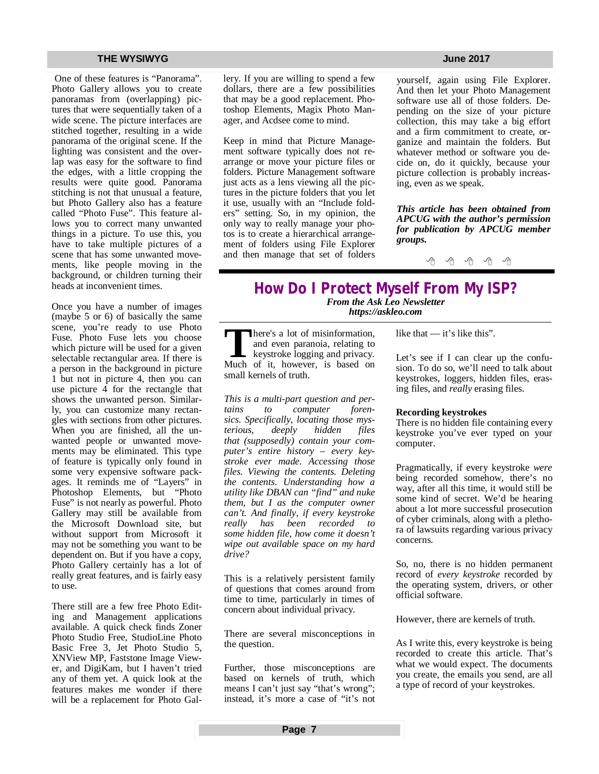One of these features is "Panorama". Photo Gallery allows you to create panoramas from (overlapping) pictures that were sequentially taken of a wide scene. The picture interfaces are stitched together, resulting in a wide panorama of the original scene. If the lighting was consistent and the overlap was easy for the software to find the edges, with a little cropping the results were quite good. Panorama stitching is not that unusual a feature, but Photo Gallery also has a feature called "Photo Fuse". This feature allows you to correct many unwanted things in a picture. To use this, you have to take multiple pictures of a scene that has some unwanted movements, like people moving in the background, or children turning their heads at inconvenient times.

Once you have a number of images (maybe 5 or 6) of basically the same scene, you're ready to use Photo Fuse. Photo Fuse lets you choose which picture will be used for a given selectable rectangular area. If there is a person in the background in picture 1 but not in picture 4, then you can use picture 4 for the rectangle that shows the unwanted person. Similarly, you can customize many rectangles with sections from other pictures. When you are finished, all the unwanted people or unwanted movements may be eliminated. This type of feature is typically only found in some very expensive software packages. It reminds me of "Layers" in Photoshop Elements, but "Photo Fuse" is not nearly as powerful. Photo Gallery may still be available from the Microsoft Download site, but without support from Microsoft it may not be something you want to be dependent on. But if you have a copy, Photo Gallery certainly has a lot of really great features, and is fairly easy to use.

There still are a few free Photo Editing and Management applications available. A quick check finds Zoner Photo Studio Free, StudioLine Photo Basic Free 3, Jet Photo Studio 5, XNView MP, Faststone Image Viewer, and DigiKam, but I haven't tried any of them yet. A quick look at the features makes me wonder if there will be a replacement for Photo Gallery. If you are willing to spend a few dollars, there are a few possibilities that may be a good replacement. Photoshop Elements, Magix Photo Manager, and Acdsee come to mind.

Keep in mind that Picture Management software typically does not rearrange or move your picture files or folders. Picture Management software just acts as a lens viewing all the pictures in the picture folders that you let it use, usually with an "Include folders" setting. So, in my opinion, the only way to really manage your photos is to create a hierarchical arrangement of folders using File Explorer and then manage that set of folders

yourself, again using File Explorer. And then let your Photo Management software use all of those folders. Depending on the size of your picture collection, this may take a big effort and a firm commitment to create, organize and maintain the folders. But whatever method or software you decide on, do it quickly, because your picture collection is probably increasing, even as we speak.

*This article has been obtained from APCUG with the author's permission for publication by APCUG member groups.*

一个 一个

# **How Do I Protect Myself From My ISP?**

*From the Ask Leo Newsletter <https://askleo.com>*

There's a lot of misinformation, and even paranoia, relating to keystroke logging and privacy.<br>Much of it, however, is based on here's a lot of misinformation, and even paranoia, relating to keystroke logging and privacy. small kernels of truth.

*This is a multi-part question and pertains to computer forensics. Specifically, locating those mysterious, deeply hidden files that (supposedly) contain your computer's entire history – every keystroke ever made. Accessing those files. Viewing the contents. Deleting the contents. Understanding how a utility like DBAN can "find" and nuke them, but I as the computer owner can't. And finally, if every keystroke really has been recorded to some hidden file, how come it doesn't wipe out available space on my hard drive?* 

This is a relatively persistent family of questions that comes around from time to time, particularly in times of concern about individual privacy.

There are several misconceptions in the question.

Further, those misconceptions are based on kernels of truth, which means I can't just say "that's wrong"; instead, it's more a case of "it's not like that — it's like this".

Let's see if I can clear up the confusion. To do so, we'll need to talk about keystrokes, loggers, hidden files, erasing files, and *really* erasing files.

### **Recording keystrokes**

There is no hidden file containing every keystroke you've ever typed on your computer.

Pragmatically, if every keystroke *were* being recorded somehow, there's no way, after all this time, it would still be some kind of secret. We'd be hearing about a lot more successful prosecution of cyber criminals, along with a plethora of lawsuits regarding various privacy concerns.

So, no, there is no hidden permanent record of *every keystroke* recorded by the operating system, drivers, or other official software.

However, there are kernels of truth.

As I write this, every keystroke is being recorded to create this article. That's what we would expect. The documents you create, the emails you send, are all a type of record of your keystrokes.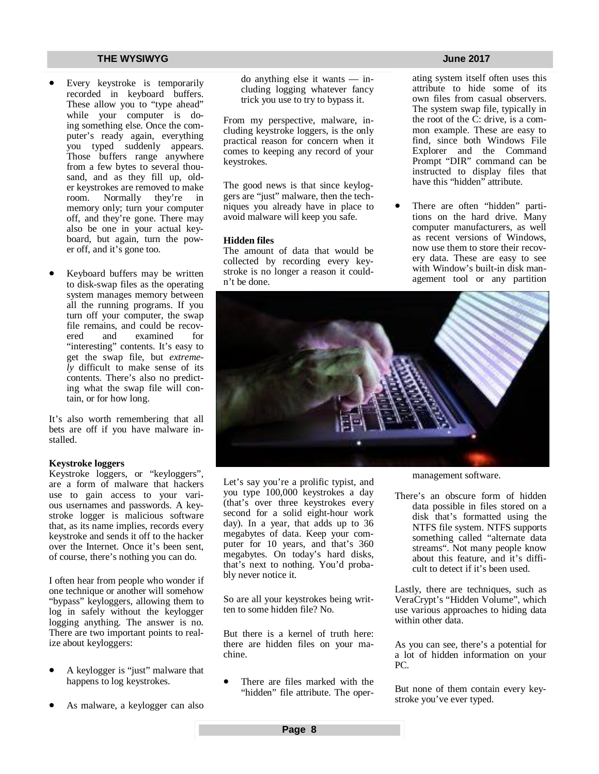- Every keystroke is temporarily recorded in keyboard buffers. These allow you to "type ahead" while your computer is doing something else. Once the computer's ready again, everything you typed suddenly appears. Those buffers range anywhere from a few bytes to several thousand, and as they fill up, older keystrokes are removed to make room. Normally they're in memory only; turn your computer off, and they're gone. There may also be one in your actual keyboard, but again, turn the power off, and it's gone too.
- Keyboard buffers may be written to disk-swap files as the operating system manages memory between all the running programs. If you turn off your computer, the swap file remains, and could be recovered and examined for examined "interesting" contents. It's easy to get the swap file, but *extremely* difficult to make sense of its contents. There's also no predicting what the swap file will contain, or for how long.

It's also worth remembering that all bets are off if you have malware installed.

### **Keystroke loggers**

Keystroke loggers, or "keyloggers", are a form of malware that hackers use to gain access to your various usernames and passwords. A keystroke logger is malicious software that, as its name implies, records every keystroke and sends it off to the hacker over the Internet. Once it's been sent, of course, there's nothing you can do.

I often hear from people who wonder if one technique or another will somehow "bypass" keyloggers, allowing them to log in safely without the keylogger logging anything. The answer is no. There are two important points to realize about keyloggers:

- A keylogger is "just" malware that happens to log keystrokes.
- As malware, a keylogger can also

do anything else it wants — including logging whatever fancy trick you use to try to bypass it.

From my perspective, malware, including keystroke loggers, is the only practical reason for concern when it comes to keeping any record of your keystrokes.

The good news is that since keyloggers are "just" malware, then the techniques you already have in place to avoid malware will keep you safe.

### **Hidden files**

The amount of data that would be collected by recording every keystroke is no longer a reason it couldn't be done.

ating system itself often uses this attribute to hide some of its own files from casual observers. The system swap file, typically in the root of the C: drive, is a common example. These are easy to find, since both Windows File Explorer and the Command Prompt "DIR" command can be instructed to display files that have this "hidden" attribute.

 There are often "hidden" partitions on the hard drive. Many computer manufacturers, as well as recent versions of Windows, now use them to store their recovery data. These are easy to see with Window's built-in disk management tool or any partition



Let's say you're a prolific typist, and you type 100,000 keystrokes a day (that's over three keystrokes every second for a solid eight-hour work day). In a year, that adds up to 36 megabytes of data. Keep your computer for 10 years, and that's 360 megabytes. On today's hard disks, that's next to nothing. You'd probably never notice it.

So are all your keystrokes being written to some hidden file? No.

But there is a kernel of truth here: there are hidden files on your machine.

 There are files marked with the "hidden" file attribute. The opermanagement software.

There's an obscure form of hidden data possible in files stored on a disk that's formatted using the NTFS file system. NTFS supports something called "alternate data streams". Not many people know about this feature, and it's difficult to detect if it's been used.

Lastly, there are techniques, such as VeraCrypt's "Hidden Volume", which use various approaches to hiding data within other data.

As you can see, there's a potential for a lot of hidden information on your PC.

But none of them contain every keystroke you've ever typed.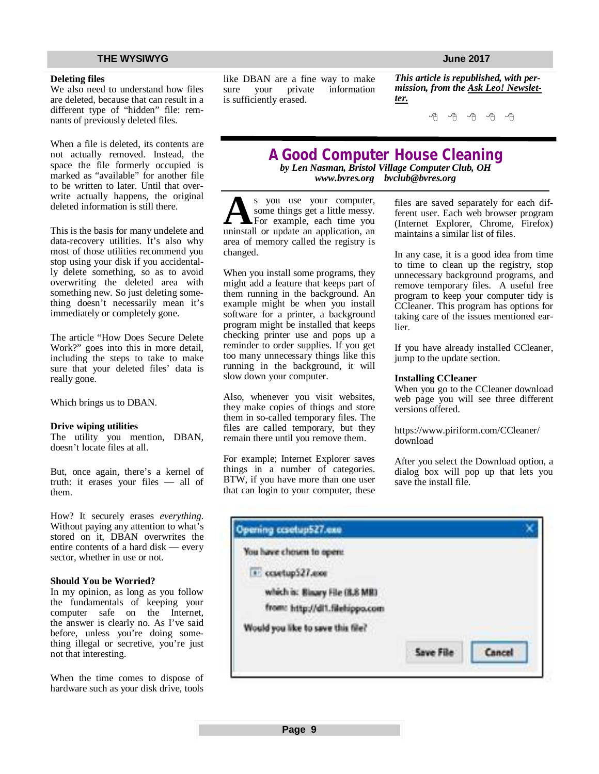### **Deleting files**

We also need to understand how files are deleted, because that can result in a different type of "hidden" file: remnants of previously deleted files.

When a file is deleted, its contents are not actually removed. Instead, the space the file formerly occupied is marked as "available" for another file to be written to later. Until that overwrite actually happens, the original deleted information is still there.

This is the basis for many undelete and data-recovery utilities. It's also why most of those utilities recommend you stop using your disk if you accidentally delete something, so as to avoid overwriting the deleted area with something new. So just deleting something doesn't necessarily mean it's immediately or completely gone.

The article "How Does Secure Delete Work?" goes into this in more detail, including the steps to take to make sure that your deleted files' data is really gone.

Which brings us to DBAN.

### **Drive wiping utilities**

The utility you mention, DBAN, doesn't locate files at all.

But, once again, there's a kernel of truth: it erases your files — all of them.

How? It securely erases *everything*. Without paying any attention to what's stored on it, DBAN overwrites the entire contents of a hard disk — every sector, whether in use or not.

### **Should You be Worried?**

In my opinion, as long as you follow the fundamentals of keeping your computer safe on the Internet, the answer is clearly no. As I've said before, unless you're doing something illegal or secretive, you're just not that interesting.

When the time comes to dispose of hardware such as your disk drive, tools

like DBAN are a fine way to make sure your private information is sufficiently erased.

*This article is republished, with permission, from the Ask Leo! Newsletter.* 

A A A A A

# **A Good Computer House Cleaning**

*by Len Nasman, Bristol Village Computer Club, OH [www.bvres.org](http://www.bvres.org) [bvclub@bvres.org](mailto:bvclub@bvres.org)*

**A** s you use your computer,<br>some things get a little messy.<br>uninstall or update an application, an s you use your computer, some things get a little messy. For example, each time you area of memory called the registry is changed.

When you install some programs, they might add a feature that keeps part of them running in the background. An example might be when you install software for a printer, a background program might be installed that keeps checking printer use and pops up a reminder to order supplies. If you get too many unnecessary things like this running in the background, it will slow down your computer.

Also, whenever you visit websites, they make copies of things and store them in so-called temporary files. The files are called temporary, but they remain there until you remove them.

For example; Internet Explorer saves things in a number of categories. BTW, if you have more than one user that can login to your computer, these

files are saved separately for each different user. Each web browser program (Internet Explorer, Chrome, Firefox) maintains a similar list of files.

In any case, it is a good idea from time to time to clean up the registry, stop unnecessary background programs, and remove temporary files. A useful free program to keep your computer tidy is CCleaner. This program has options for taking care of the issues mentioned earlier.

If you have already installed CCleaner, jump to the update section.

### **Installing CCleaner**

When you go to the CCleaner download web page you will see three different versions offered.

<https://www.piriform.com/CCleaner/> download

After you select the Download option, a dialog box will pop up that lets you save the install file.

| Opening casetup527.exe            |                  |  |
|-----------------------------------|------------------|--|
| You have chosen to open:          |                  |  |
| 1 contup527.ext                   |                  |  |
| which is: Binary File (8.8 MB)    |                  |  |
| from: http://dl1.filehippo.com    |                  |  |
| Would you like to save this file? |                  |  |
|                                   | <b>Same Film</b> |  |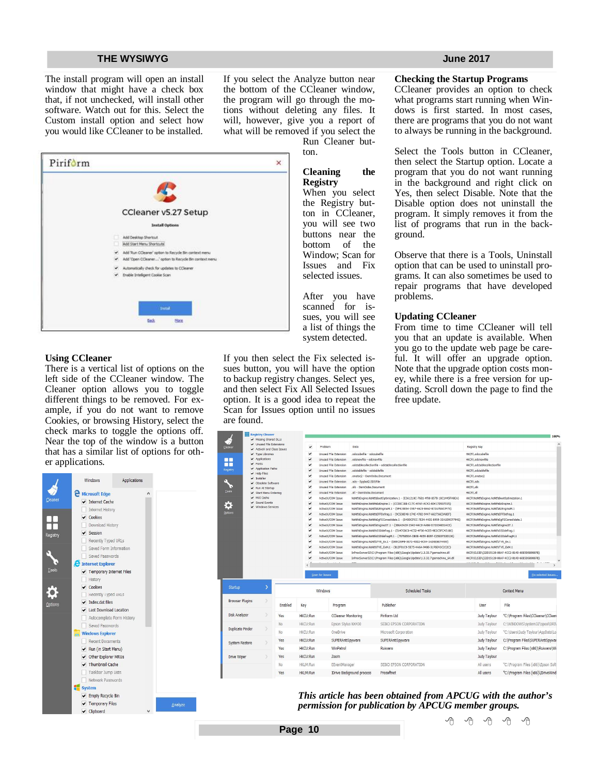The install program will open an install window that might have a check box that, if not unchecked, will install other software. Watch out for this. Select the Custom install option and select how you would like CCleaner to be installed.

If you select the Analyze button near the bottom of the CCleaner window, the program will go through the motions without deleting any files. It will, however, give you a report of what will be removed if you select the Run Cleaner but-

ton.

# **Cleaning the Registry**

When you select the Registry button in CCleaner, you will see two buttons near the bottom of the Window; Scan for Issues and Fix selected issues.

After you have scanned for issues, you will see a list of things the system detected.

If you then select the Fix selected issues button, you will have the option to backup registry changes. Select yes, and then select Fix All Selected Issues option. It is a good idea to repeat the Scan for Issues option until no issues are found.

**The Elizabeth Cleaner** 

### **Checking the Startup Programs**

CCleaner provides an option to check what programs start running when Windows is first started. In most cases, there are programs that you do not want to always be running in the background.

Select the Tools button in CCleaner, then select the Startup option. Locate a program that you do not want running in the background and right click on Yes, then select Disable. Note that the Disable option does not uninstall the program. It simply removes it from the list of programs that run in the background.

Observe that there is a Tools, Uninstall option that can be used to uninstall programs. It can also sometimes be used to repair programs that have developed problems.

### **Updating CCleaner**

From time to time CCleaner will tell you that an update is available. When you go to the update web page be careful. It will offer an upgrade option. Note that the upgrade option costs money, while there is a free version for updating. Scroll down the page to find the free update.

| S<br>Cleaner             | Missing Shared DLLs<br>Unused File Extensions        |            | $\checkmark$                 | Problem                                                      | Data                                                   |                                                                                                                                                          | Registry Key                                                                     |                                                   |
|--------------------------|------------------------------------------------------|------------|------------------------------|--------------------------------------------------------------|--------------------------------------------------------|----------------------------------------------------------------------------------------------------------------------------------------------------------|----------------------------------------------------------------------------------|---------------------------------------------------|
| $\overline{\phantom{a}}$ | ActiveX and Class Issues                             |            |                              |                                                              |                                                        |                                                                                                                                                          |                                                                                  |                                                   |
| nn                       | $\blacktriangleright$ Type Libraries<br>Applications |            | ٠<br>$\checkmark$            | <b>Unused File Extension</b><br><b>Unused File Extension</b> | .odccubefile - odccubefile<br>.odcnewfile - odcnewfile |                                                                                                                                                          | HKCR\.odccubefile<br>HKCR\.odcnewfile                                            |                                                   |
| m                        | $\blacktriangleright$ Fonts                          |            | ٠                            | <b>Unused File Extension</b>                                 |                                                        | .odctablecollectionfile - odctablecollectionfile                                                                                                         | HKCR\.odctablecollectionfile                                                     |                                                   |
| Registry                 | Application Paths                                    |            | ٠                            | <b>Unused File Extension</b>                                 | .odctablefile - odctablefile                           |                                                                                                                                                          | HKCR\.odctablefile                                                               |                                                   |
|                          | $ightharpoonup$ Help Files                           |            | $\checkmark$                 | <b>Unused File Extension</b>                                 | .onetor2 - OemOobe.Document                            |                                                                                                                                                          | HKCR\.onetoc2                                                                    |                                                   |
|                          | $\checkmark$ Installer<br>✔ Obsolete Software        |            | $\checkmark$                 | <b>Unused File Extension</b>                                 | .sds - Spybot2.SDSFile                                 |                                                                                                                                                          | HKCR\.sds                                                                        |                                                   |
| v                        | Run At Startup                                       |            | ٠                            | <b>Unused File Extension</b>                                 | .xlk - OemOobe.Document                                |                                                                                                                                                          | HKCR\.xlk                                                                        |                                                   |
| Tools                    | Start Menu Ordering                                  |            | $\checkmark$                 | <b>Unused File Extension</b>                                 | .xll - OemOobe.Document                                |                                                                                                                                                          | $HKCR$ , xll                                                                     |                                                   |
|                          | MUI Cache                                            |            | $\checkmark$                 | ActiveX/COM Issue                                            |                                                        | NsNtfsEngine.NsNtfsBootOptimization.1 - {E361218C-76B1-4f08-B57B-1BC1445FA8EA}                                                                           | HKCR\NsNtfsEngine.NsNtfsBootOptimization.1                                       |                                                   |
|                          | Sound Events<br>V Windows Services                   |            | $\checkmark$                 | ActiveX/COM Issue                                            |                                                        | NsNtfsEngine.NsNtfs8zEngine.1 - {CC00C1BB-C17C-4FAF-AC42-60417D507015}                                                                                   | HKCR\NsNtfsEngine.NsNtfsBzEngine.1                                               |                                                   |
| Options                  |                                                      |            | $\checkmark$<br>$\checkmark$ | ActiveX/COM Issue<br>ActiveX/COM Issue                       |                                                        | NsNtfsEngine.NsNtfs8zEngineM.1 - {5F419854-3597-4625-8462-B72A7BA07F75}                                                                                  | HKCR\NsNtfsEngine.NsNtfsBzEngineM.1                                              |                                                   |
|                          |                                                      |            | $\checkmark$                 | ActiveX/COM Issue                                            |                                                        | NsNtfsEngine.NsNtfsEFFDefrag.1 - (9C538E48-174E-4782-9447-662736E3A8EF)<br>NsNtfsEngine.NsNtfsEgFSConsolidate.1 - {D4DDCFCC-7E34-442E-8959-32A1D9CF794E} | HKCR\NsNtfsEngine.NsNtfsEFFDefrag.1<br>HKCR\NsNtfsEngine.NsNtfsEgFSConsolidate.1 |                                                   |
|                          |                                                      |            | $\checkmark$                 | ActiveX/COM Issue                                            |                                                        | NsNtfsEngine.NsNtfsEngineJIT.1 - {3B6AE429-254D-44C8-AAB6-D7D3346514CE}                                                                                  | HKCR\NsNtfsEngine.NsNtfsEngineJIT.1                                              |                                                   |
|                          |                                                      |            | ٠                            | ActiveX/COM Issue                                            |                                                        | NsNtfsEngine.NsNtfsSSDdefrag.1 - {5147CBC0-4C52-4F36-ACE5-9E2CSFCAS1B0}                                                                                  | HKCR\NsNtfsEngine.NsNtfsSSDdefrag.1                                              |                                                   |
|                          |                                                      |            | $\checkmark$                 | ActiveX/COM Issue                                            |                                                        | NsNtfsEngine.NsNtfsSSDdefragM.1 - {7076850A-DB0B-4659-BE9F-C25E0F53D136}                                                                                 | HKCR\NsNtfsEngine.NsNtfsSSDdefragM.1                                             |                                                   |
|                          |                                                      |            | $\checkmark$                 | ActiveX/COM Issue                                            |                                                        | NsNtfsEngine.NsNtfsTVE_Ex.1 - {DB9C05FB-3E71-40D2-8C04-3ADEE5E74400}                                                                                     | HKCR\NsNtfsEngine.NsNtfsTVE_Ex.1                                                 |                                                   |
|                          |                                                      |            | $\checkmark$                 | ActiveX/COM Issue                                            |                                                        | NsNtfsEngine.NsNtfsTVE_ExM.1 - {B12F91C9-5E75-4A6A-94B6-31F6EA3C2C2C}                                                                                    | HKCR\NsNtfsEngine.NsNtfsTVE_ExM.1                                                |                                                   |
|                          |                                                      |            | $\checkmark$                 | ActiveX/COM Issue                                            |                                                        | InProcServer32\C:\Program Files (x86)\Google\Update\1.3.32.7\psmachine.dll                                                                               |                                                                                  | HKCR\CLSID\{22D15128-88AF-4CC2-814D-60E5D5B98878} |
|                          |                                                      |            |                              | ActiveX/COM Issue                                            |                                                        | InProcServer32\C:\Program Files (x86)\Google\Update\1.3.32.7\psmachine_64.dll                                                                            |                                                                                  | HKCR\CLSID\{22D15128-88AF-4CC2-814D-60E5D5B98878} |
| Startup                  | $\rightarrow$                                        |            |                              | Scan for Issues<br>Windows                                   |                                                        | <b>Scheduled Tasks</b>                                                                                                                                   |                                                                                  | Fix selected Issues.<br><b>Context Menu</b>       |
| <b>Browser Plugins</b>   |                                                      | Enabled    | Key                          | Program                                                      |                                                        | Publisher                                                                                                                                                | User                                                                             | File                                              |
| Disk Analyzer            |                                                      | Yes        | HKCU:Run                     | <b>CCleaner Monitoring</b>                                   |                                                        | Piriform Ltd                                                                                                                                             | Judy Taylour                                                                     | "C:\Program Files\CCleaner\CClean                 |
|                          |                                                      | No.        | HKCU:Run                     | Epson Stylus NX430                                           |                                                        | SEIKO EPSON CORPORATION                                                                                                                                  | Judy Taylour                                                                     | C:\WINDOWS\system32\spool\DRI\                    |
| <b>Duplicate Finder</b>  |                                                      | No         | HKCU:Run                     | OneDrive                                                     |                                                        | Microsoft Corporation                                                                                                                                    | Judy Taylour                                                                     | "C:\Users\Judy Taylour\AppData\Lo                 |
| System Restore           |                                                      | Yes        | <b>HKCU:Run</b>              | SUPERAntiSpyware                                             |                                                        | SUPERAntiSpyware                                                                                                                                         | Judy Taylour                                                                     | C:\Program Files\SUPERAntiSpywar                  |
|                          |                                                      | Yes        | <b>HKCU:Run</b>              | WinPatrol                                                    |                                                        | Ruiware                                                                                                                                                  | Judy Taylour                                                                     | C:\Program Files (x86)\Ruiware\Wi                 |
| Drive Wiper              |                                                      | Yes        | HKCU:Run                     | Zoom                                                         |                                                        |                                                                                                                                                          | Judy Taylour                                                                     |                                                   |
|                          |                                                      | No         | HKLM:Run                     | EEventManager                                                |                                                        | SEIKO EPSON CORPORATION                                                                                                                                  | All users                                                                        | "C:\Program Files (x86)\Epson Soft                |
|                          |                                                      | <b>Mag</b> | 1101 M-D                     |                                                              | Theira Daglegeniad accessor                            | Dragathant                                                                                                                                               | All unnen                                                                        | EC-10mgram Files (v06) Thrisplitad                |

*This article has been obtained from APCUG with the author's permission for publication by APCUG member groups.*

唯 唯 唯 唯 唯



### **Using CCleaner**

There is a vertical list of options on the left side of the CCleaner window. The Cleaner option allows you to toggle different things to be removed. For example, if you do not want to remove Cookies, or browsing History, select the check marks to toggle the options off. Near the top of the window is a button that has a similar list of options for other applications.

|              | <b>Windows</b>                        | Applications |  |
|--------------|---------------------------------------|--------------|--|
|              | <b>E</b> Microsoft Edge               |              |  |
| Cleaner      | Internet Cache                        |              |  |
|              | Internet History                      |              |  |
|              | Cookies                               |              |  |
|              | Download History                      |              |  |
| Registry     | ✔ Session                             |              |  |
|              | Recently Typed URLs                   |              |  |
|              | Saved Form Information                |              |  |
|              | Saved Passwords                       |              |  |
|              | <b>A</b> Internet Explorer            |              |  |
| <b>Tools</b> | ← Temporary Internet Files            |              |  |
|              | History                               |              |  |
|              | $\sqrt{\phantom{a}}$ Cookies          |              |  |
|              | Recently Typed URLs                   |              |  |
| Options      | $\blacktriangleright$ Index.dat files |              |  |
|              | I ast Download Location               |              |  |
|              | Autocomplete Form History             |              |  |
|              | Saved Passwords                       |              |  |
|              | <b>Windows Explorer</b>               |              |  |
|              | <b>Recent Documents</b>               |              |  |
|              | ← Run (in Start Menu)                 |              |  |
|              | ← Other Explorer MRUs                 |              |  |
|              | Thumbnail Cache                       |              |  |
|              | Taskbar Jump Lists                    |              |  |
|              | Network Passwords                     |              |  |
|              | system                                |              |  |
|              | ← Empty Recycle Bin                   |              |  |
|              | ✔ Temporary Files                     |              |  |
|              | v Clipboard                           |              |  |

**Page 10**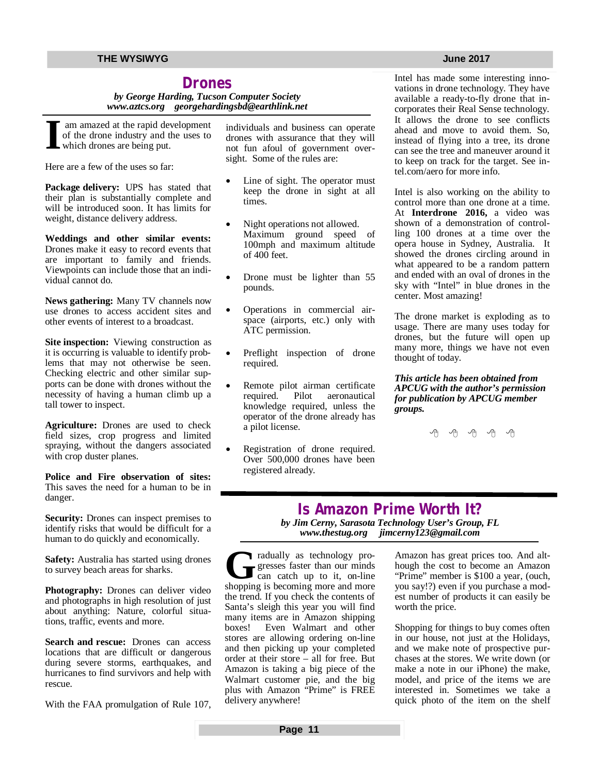# **Drones**

*by George Harding, Tucson Computer Society [www.aztcs.org](http://www.aztcs.org) [georgehardingsbd@earthlink.net](mailto:georgehardingsbd@earthlink.net)*

**I** am amazed at the rapid development of the drone industry and the uses to which drones are being put.

Here are a few of the uses so far:

**Package delivery:** UPS has stated that their plan is substantially complete and will be introduced soon. It has limits for weight, distance delivery address.

**Weddings and other similar events:** Drones make it easy to record events that are important to family and friends. Viewpoints can include those that an individual cannot do.

**News gathering:** Many TV channels now use drones to access accident sites and other events of interest to a broadcast.

**Site inspection:** Viewing construction as it is occurring is valuable to identify problems that may not otherwise be seen. Checking electric and other similar supports can be done with drones without the necessity of having a human climb up a tall tower to inspect.

**Agriculture:** Drones are used to check field sizes, crop progress and limited spraying, without the dangers associated with crop duster planes.

**Police and Fire observation of sites:** This saves the need for a human to be in danger.

**Security:** Drones can inspect premises to identify risks that would be difficult for a human to do quickly and economically.

**Safety:** Australia has started using drones to survey beach areas for sharks.

**Photography:** Drones can deliver video and photographs in high resolution of just about anything: Nature, colorful situations, traffic, events and more.

**Search and rescue:** Drones can access locations that are difficult or dangerous during severe storms, earthquakes, and hurricanes to find survivors and help with rescue.

With the FAA promulgation of Rule 107,

individuals and business can operate drones with assurance that they will not fun afoul of government oversight. Some of the rules are:

- Line of sight. The operator must keep the drone in sight at all times.
- Night operations not allowed. Maximum ground speed of 100mph and maximum altitude of 400 feet.
- Drone must be lighter than 55 pounds.
- Operations in commercial airspace (airports, etc.) only with ATC permission.
- Preflight inspection of drone required.
- Remote pilot airman certificate required. Pilot aeronautical knowledge required, unless the operator of the drone already has a pilot license.
- Registration of drone required. Over 500,000 drones have been registered already.

Intel has made some interesting innovations in drone technology. They have available a ready-to-fly drone that incorporates their Real Sense technology. It allows the drone to see conflicts ahead and move to avoid them. So, instead of flying into a tree, its drone can see the tree and maneuver around it to keep on track for the target. See intel.com/aero for more info.

Intel is also working on the ability to control more than one drone at a time. At **Interdrone 2016,** a video was shown of a demonstration of controlling 100 drones at a time over the opera house in Sydney, Australia. It showed the drones circling around in what appeared to be a random pattern and ended with an oval of drones in the sky with "Intel" in blue drones in the center. Most amazing!

The drone market is exploding as to usage. There are many uses today for drones, but the future will open up many more, things we have not even thought of today.

*This article has been obtained from APCUG with the author's permission for publication by APCUG member groups.*

用 用 用 用 用

# **Is Amazon Prime Worth It?** *by Jim Cerny, Sarasota Technology User's Group, FL [www.thestug.org](http://www.thestug.org) [jimcerny123@gmail.com](mailto:jimcerny123@gmail.com)*

**G**<br>shoppin radually as technology progresses faster than our minds can catch up to it, on-line shopping is becoming more and more the trend. If you check the contents of Santa's sleigh this year you will find many items are in Amazon shipping boxes! Even Walmart and other stores are allowing ordering on-line and then picking up your completed order at their store – all for free. But Amazon is taking a big piece of the Walmart customer pie, and the big plus with Amazon "Prime" is FREE delivery anywhere!

Amazon has great prices too. And although the cost to become an Amazon "Prime" member is \$100 a year, (ouch, you say!?) even if you purchase a modest number of products it can easily be worth the price.

Shopping for things to buy comes often in our house, not just at the Holidays, and we make note of prospective purchases at the stores. We write down (or make a note in our iPhone) the make, model, and price of the items we are interested in. Sometimes we take a quick photo of the item on the shelf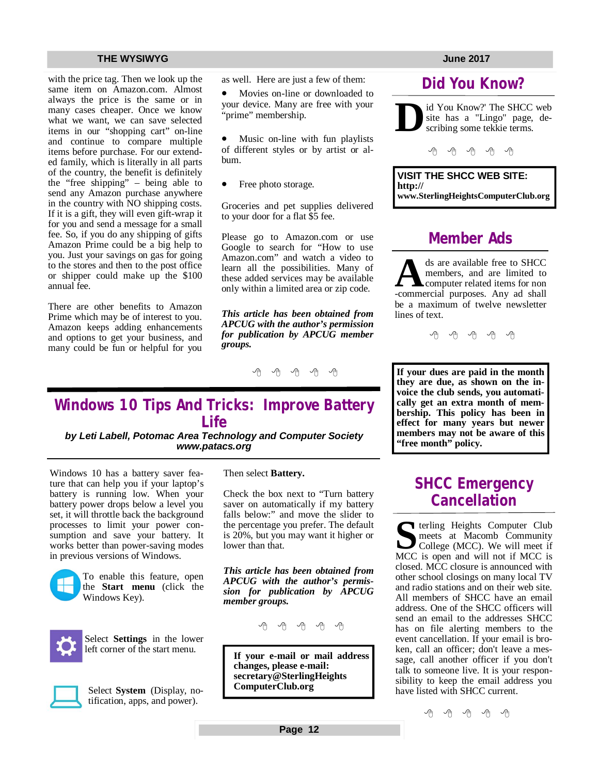with the price tag. Then we look up the same item on Amazon.com. Almost always the price is the same or in many cases cheaper. Once we know what we want, we can save selected items in our "shopping cart" on-line and continue to compare multiple items before purchase. For our extended family, which is literally in all parts of the country, the benefit is definitely the "free shipping" – being able to send any Amazon purchase anywhere in the country with NO shipping costs. If it is a gift, they will even gift-wrap it for you and send a message for a small fee. So, if you do any shipping of gifts Amazon Prime could be a big help to you. Just your savings on gas for going to the stores and then to the post office or shipper could make up the \$100 annual fee.

There are other benefits to Amazon Prime which may be of interest to you. Amazon keeps adding enhancements and options to get your business, and many could be fun or helpful for you as well. Here are just a few of them:

 Movies on-line or downloaded to your device. Many are free with your "prime" membership.

 Music on-line with fun playlists of different styles or by artist or album.

Free photo storage.

Groceries and pet supplies delivered to your door for a flat \$5 fee.

Please go to Amazon.com or use Google to search for "How to use Amazon.com" and watch a video to learn all the possibilities. Many of these added services may be available only within a limited area or zip code.

*This article has been obtained from APCUG with the author's permission for publication by APCUG member groups.*

e e e e e

# **Windows 10 Tips And Tricks: Improve Battery Life**

*by Leti Labell, Potomac Area Technology and Computer Society [www.patacs.org](http://www.patacs.org)*

Windows 10 has a battery saver feature that can help you if your laptop's battery is running low. When your battery power drops below a level you set, it will throttle back the background processes to limit your power consumption and save your battery. It works better than power-saving modes in previous versions of Windows.



To enable this feature, open the **Start menu** (click the Windows Key).



Select **Settings** in the lower left corner of the start menu.



Select **System** (Display, notification, apps, and power).

Then select **Battery.**

Check the box next to "Turn battery saver on automatically if my battery falls below:" and move the slider to the percentage you prefer. The default is 20%, but you may want it higher or lower than that.

*This article has been obtained from APCUG with the author's permission for publication by APCUG member groups.*

**If your e-mail or mail address changes, please e-mail: secretary@SterlingHeights ComputerClub.org**

# **Did You Know?**

**D** id You Know?' The SHCC web site has a "Lingo" page, describing some tekkie terms.

 $A$   $A$   $B$   $A$   $A$ 

**VISIT THE SHCC WEB SITE: <http://> [www.SterlingHeightsComputerClub.org](http://www.SterlingHeightsComputerClub.org)**

# **Member Ads**

ds are available free to SHCC members, and are limited to computer related items for non-commercial purposes. Any ad shall ds are available free to SHCC members, and are limited to computer related items for non be a maximum of twelve newsletter lines of text.

 $\oplus$   $\oplus$   $\oplus$   $\oplus$ 

**If your dues are paid in the month they are due, as shown on the invoice the club sends, you automatically get an extra month of membership. This policy has been in effect for many years but newer members may not be aware of this "free month" policy.**

# **SHCC Emergency Cancellation**

**S** MCC is open and will not if MCC is terling Heights Computer Club meets at Macomb Community College (MCC). We will meet if closed. MCC closure is announced with other school closings on many local TV and radio stations and on their web site. All members of SHCC have an email address. One of the SHCC officers will send an email to the addresses SHCC has on file alerting members to the event cancellation. If your email is broken, call an officer; don't leave a message, call another officer if you don't talk to someone live. It is your responsibility to keep the email address you have listed with SHCC current.

中 中 中 一 中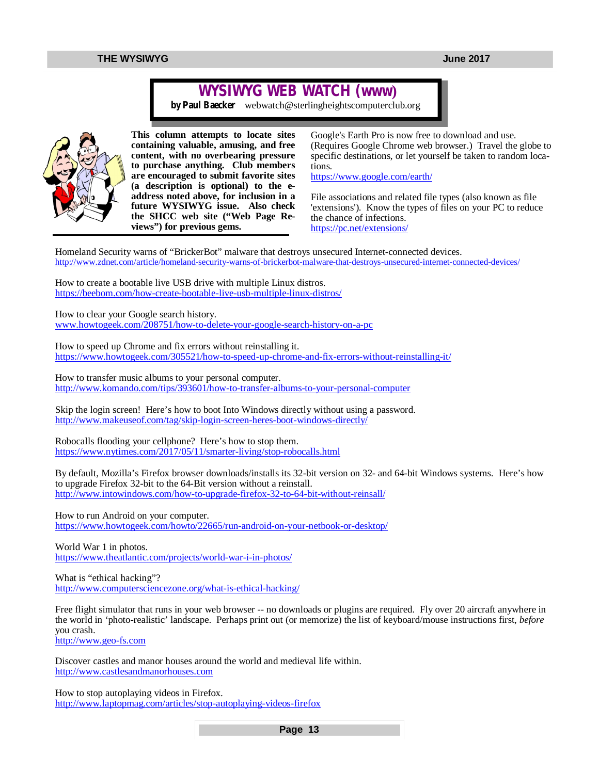# **WYSIWYG WEB WATCH (www)**

*by Paul Baecker* [webwatch@sterlingheightscomputerclub.org](mailto:webwatch@sterlingheightscomputerclub.org)



**This column attempts to locate sites containing valuable, amusing, and free content, with no overbearing pressure to purchase anything. Club members are encouraged to submit favorite sites (a description is optional) to the eaddress noted above, for inclusion in a future WYSIWYG issue. Also check the SHCC web site ("Web Page Reviews") for previous gems.** 

Google's Earth Pro is now free to download and use. (Requires Google Chrome web browser.) Travel the globe to specific destinations, or let yourself be taken to random locations.

<https://www.google.com/earth/>

File associations and related file types (also known as file 'extensions'). Know the types of files on your PC to reduce the chance of infections. <https://pc.net/extensions/>

Homeland Security warns of "BrickerBot" malware that destroys unsecured Internet-connected devices. <http://www.zdnet.com/article/homeland-security-warns-of-brickerbot-malware-that-destroys-unsecured-internet-connected-devices/>

How to create a bootable live USB drive with multiple Linux distros. <https://beebom.com/how-create-bootable-live-usb-multiple-linux-distros/>

How to clear your Google search history. [www.howtogeek.com/208751/how-to-delete-your-google-search-history-on-a-pc](http://www.howtogeek.com/208751/how-to-delete-your-google-search-history-on-a-pc)

How to speed up Chrome and fix errors without reinstalling it. <https://www.howtogeek.com/305521/how-to-speed-up-chrome-and-fix-errors-without-reinstalling-it/>

How to transfer music albums to your personal computer. <http://www.komando.com/tips/393601/how-to-transfer-albums-to-your-personal-computer>

Skip the login screen! Here's how to boot Into Windows directly without using a password. <http://www.makeuseof.com/tag/skip-login-screen-heres-boot-windows-directly/>

Robocalls flooding your cellphone? Here's how to stop them. <https://www.nytimes.com/2017/05/11/smarter-living/stop-robocalls.html>

By default, Mozilla's Firefox browser downloads/installs its 32-bit version on 32- and 64-bit Windows systems. Here's how to upgrade Firefox 32-bit to the 64-Bit version without a reinstall. <http://www.intowindows.com/how-to-upgrade-firefox-32-to-64-bit-without-reinsall/>

How to run Android on your computer. <https://www.howtogeek.com/howto/22665/run-android-on-your-netbook-or-desktop/>

World War 1 in photos. <https://www.theatlantic.com/projects/world-war-i-in-photos/>

What is "ethical hacking"? <http://www.computersciencezone.org/what-is-ethical-hacking/>

Free flight simulator that runs in your web browser -- no downloads or plugins are required. Fly over 20 aircraft anywhere in the world in 'photo-realistic' landscape. Perhaps print out (or memorize) the list of keyboard/mouse instructions first, *before* you crash. <http://www.geo-fs.com>

Discover castles and manor houses around the world and medieval life within. <http://www.castlesandmanorhouses.com>

How to stop autoplaying videos in Firefox. <http://www.laptopmag.com/articles/stop-autoplaying-videos-firefox>

**Page 13**